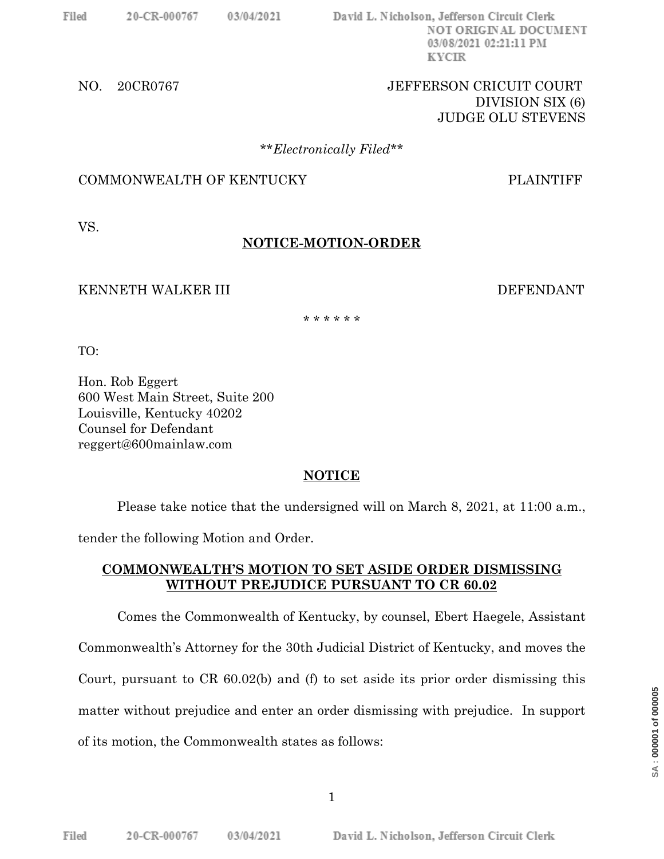David L. Nicholson, Jefferson Circuit Clerk NOT ORIGINAL DOCUMENT 03/08/2021 02:21:11 PM **KYCIR** 

## NO. 20CR0767 JEFFERSON CRICUIT COURT DIVISION SIX (6) JUDGE OLU STEVENS

#### \*\**Electronically Filed*\*\*

## COMMONWEALTH OF KENTUCKY PLAINTIFF

VS.

# **NOTICE-MOTION-ORDER**

### KENNETH WALKER III DEFENDANT

\* \* \* \* \* \*

TO:

Hon. Rob Eggert 600 West Main Street, Suite 200 Louisville, Kentucky 40202 Counsel for Defendant reggert@600mainlaw.com

## **NOTICE**

Please take notice that the undersigned will on March 8, 2021, at 11:00 a.m.,

tender the following Motion and Order.

## **COMMONWEALTH'S MOTION TO SET ASIDE ORDER DISMISSING WITHOUT PREJUDICE PURSUANT TO CR 60.02**

Comes the Commonwealth of Kentucky, by counsel, Ebert Haegele, Assistant Commonwealth's Attorney for the 30th Judicial District of Kentucky, and moves the Court, pursuant to CR 60.02(b) and (f) to set aside its prior order dismissing this matter without prejudice and enter an order dismissing with prejudice. In support of its motion, the Commonwealth states as follows: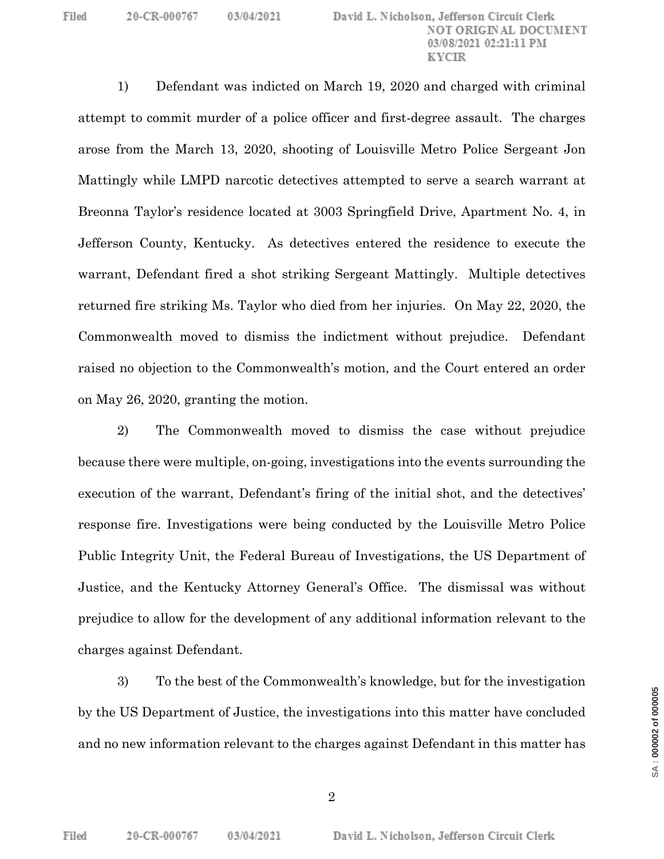1) Defendant was indicted on March 19, 2020 and charged with criminal attempt to commit murder of a police officer and first-degree assault. The charges arose from the March 13, 2020, shooting of Louisville Metro Police Sergeant Jon Mattingly while LMPD narcotic detectives attempted to serve a search warrant at Breonna Taylor's residence located at 3003 Springfield Drive, Apartment No. 4, in Jefferson County, Kentucky. As detectives entered the residence to execute the warrant, Defendant fired a shot striking Sergeant Mattingly. Multiple detectives returned fire striking Ms. Taylor who died from her injuries. On May 22, 2020, the Commonwealth moved to dismiss the indictment without prejudice. Defendant raised no objection to the Commonwealth's motion, and the Court entered an order on May 26, 2020, granting the motion.

2) The Commonwealth moved to dismiss the case without prejudice because there were multiple, on-going, investigations into the events surrounding the execution of the warrant, Defendant's firing of the initial shot, and the detectives' response fire. Investigations were being conducted by the Louisville Metro Police Public Integrity Unit, the Federal Bureau of Investigations, the US Department of Justice, and the Kentucky Attorney General's Office. The dismissal was without prejudice to allow for the development of any additional information relevant to the charges against Defendant.

3) To the best of the Commonwealth's knowledge, but for the investigation by the US Department of Justice, the investigations into this matter have concluded and no new information relevant to the charges against Defendant in this matter has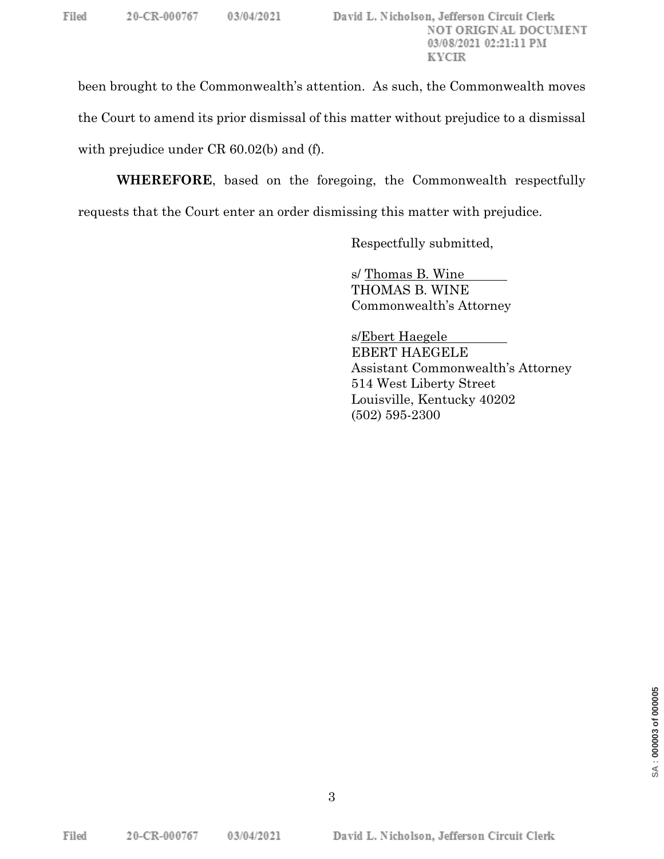been brought to the Commonwealth's attention. As such, the Commonwealth moves the Court to amend its prior dismissal of this matter without prejudice to a dismissal with prejudice under CR 60.02(b) and (f).

**WHEREFORE**, based on the foregoing, the Commonwealth respectfully requests that the Court enter an order dismissing this matter with prejudice.

Respectfully submitted,

s/ Thomas B. Wine THOMAS B. WINE Commonwealth's Attorney

s/Ebert Haegele EBERT HAEGELE Assistant Commonwealth's Attorney 514 West Liberty Street Louisville, Kentucky 40202 (502) 595-2300

03/04/2021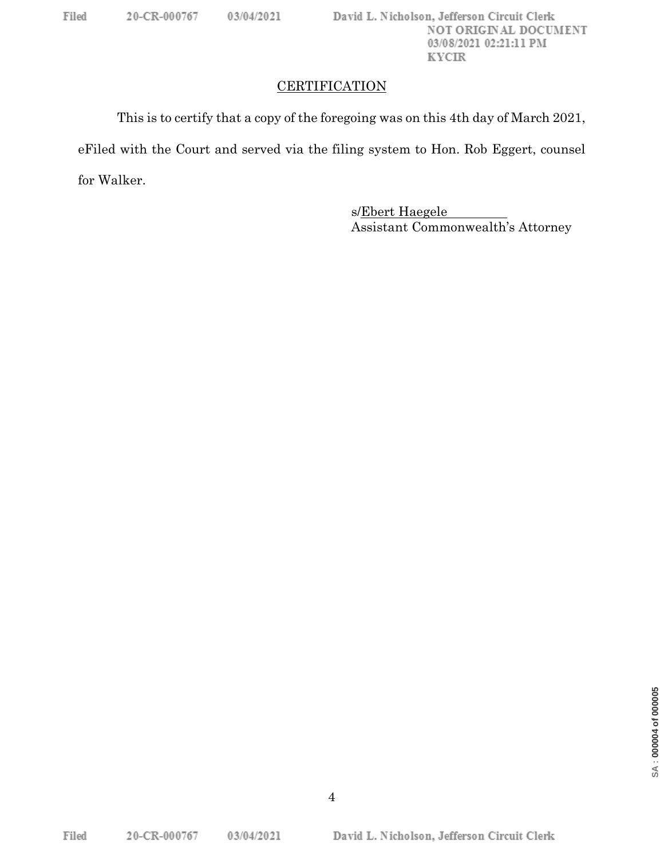## **CERTIFICATION**

This is to certify that a copy of the foregoing was on this 4th day of March 2021, eFiled with the Court and served via the filing system to Hon. Rob Eggert, counsel for Walker.

> s/Ebert Haegele Assistant Commonwealth's Attorney